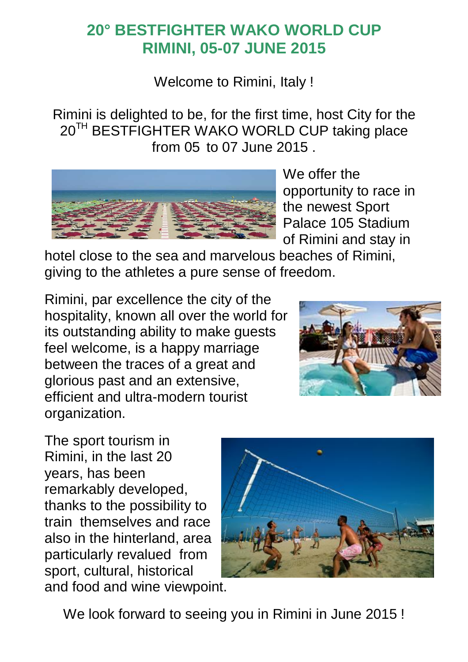## **20° BESTFIGHTER WAKO WORLD CUP RIMINI, 05-07 JUNE 2015**

Welcome to Rimini, Italy !

Rimini is delighted to be, for the first time, host City for the 20<sup>TH</sup> BESTFIGHTER WAKO WORLD CUP taking place from 05 to 07 June 2015 .



We offer the opportunity to race in the newest Sport Palace 105 Stadium of Rimini and stay in

hotel close to the sea and marvelous beaches of Rimini, giving to the athletes a pure sense of freedom.

Rimini, par excellence the city of the hospitality, known all over the world for its outstanding ability to make guests feel welcome, is a happy marriage between the traces of a great and glorious past and an extensive, efficient and ultra-modern tourist organization.



The sport tourism in Rimini, in the last 20 years, has been remarkably developed, thanks to the possibility to train themselves and race also in the hinterland, area particularly revalued from sport, cultural, historical and food and wine viewpoint.



We look forward to seeing you in Rimini in June 2015 !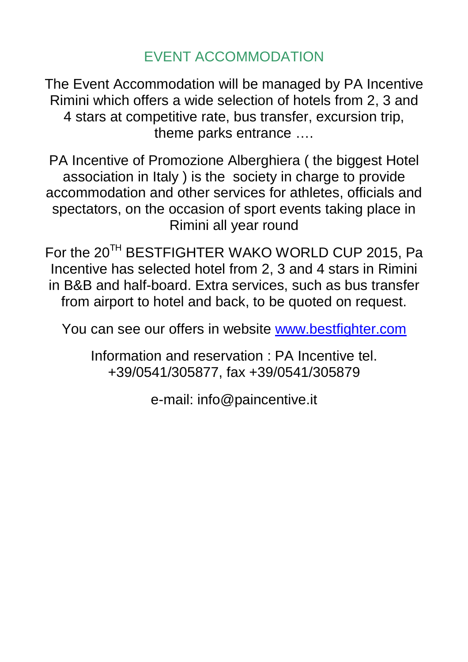EVENT ACCOMMODATION

The Event Accommodation will be managed by PA Incentive Rimini which offers a wide selection of hotels from 2, 3 and 4 stars at competitive rate, bus transfer, excursion trip, theme parks entrance ….

PA Incentive of Promozione Alberghiera ( the biggest Hotel association in Italy ) is the society in charge to provide accommodation and other services for athletes, officials and spectators, on the occasion of sport events taking place in Rimini all year round

For the 20<sup>TH</sup> BESTFIGHTER WAKO WORLD CUP 2015, Pa Incentive has selected hotel from 2, 3 and 4 stars in Rimini in B&B and half-board. Extra services, such as bus transfer from airport to hotel and back, to be quoted on request.

You can see our offers in website www.bestfighter.com

Information and reservation : PA Incentive tel. +39/0541/305877, fax +39/0541/305879

e-mail: info@paincentive.it